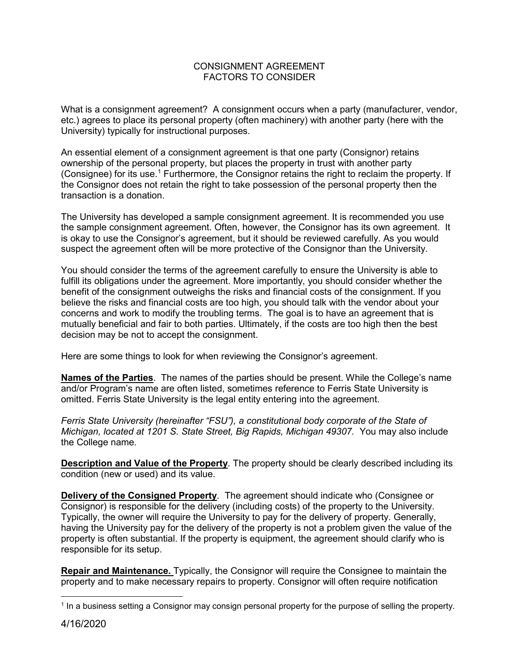## CONSIGNMENT AGREEMENT FACTORS TO CONSIDER

What is a consignment agreement? A consignment occurs when a party (manufacturer, vendor, etc.) agrees to place its personal property (often machinery) with another party (here with the University) typically for instructional purposes.

An essential element of a consignment agreement is that one party (Consignor) retains ownership of the personal property, but places the property in trust with another party (Consignee) for its use.[1](#page-0-0) Furthermore, the Consignor retains the right to reclaim the property. If the Consignor does not retain the right to take possession of the personal property then the transaction is a donation.

The University has developed a sample consignment agreement. It is recommended you use the sample consignment agreement. Often, however, the Consignor has its own agreement. It is okay to use the Consignor's agreement, but it should be reviewed carefully. As you would suspect the agreement often will be more protective of the Consignor than the University.

You should consider the terms of the agreement carefully to ensure the University is able to fulfill its obligations under the agreement. More importantly, you should consider whether the benefit of the consignment outweighs the risks and financial costs of the consignment. If you believe the risks and financial costs are too high, you should talk with the vendor about your concerns and work to modify the troubling terms. The goal is to have an agreement that is mutually beneficial and fair to both parties. Ultimately, if the costs are too high then the best decision may be not to accept the consignment.

Here are some things to look for when reviewing the Consignor's agreement.

**Names of the Parties**. The names of the parties should be present. While the College's name and/or Program's name are often listed, sometimes reference to Ferris State University is omitted. Ferris State University is the legal entity entering into the agreement.

*Ferris State University (hereinafter "FSU"), a constitutional body corporate of the State of Michigan, located at 1201 S. State Street, Big Rapids, Michigan 49307.* You may also include the College name.

**Description and Value of the Property**. The property should be clearly described including its condition (new or used) and its value.

**Delivery of the Consigned Property**. The agreement should indicate who (Consignee or Consignor) is responsible for the delivery (including costs) of the property to the University. Typically, the owner will require the University to pay for the delivery of property. Generally, having the University pay for the delivery of the property is not a problem given the value of the property is often substantial. If the property is equipment, the agreement should clarify who is responsible for its setup.

**Repair and Maintenance.** Typically, the Consignor will require the Consignee to maintain the property and to make necessary repairs to property. Consignor will often require notification

<span id="page-0-0"></span> <sup>1</sup> In a business setting a Consignor may consign personal property for the purpose of selling the property.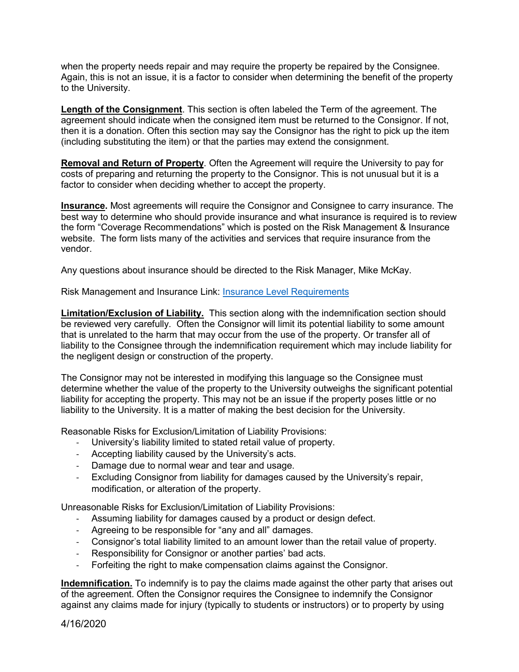when the property needs repair and may require the property be repaired by the Consignee. Again, this is not an issue, it is a factor to consider when determining the benefit of the property to the University.

**Length of the Consignment**. This section is often labeled the Term of the agreement. The agreement should indicate when the consigned item must be returned to the Consignor. If not, then it is a donation. Often this section may say the Consignor has the right to pick up the item (including substituting the item) or that the parties may extend the consignment.

**Removal and Return of Property**. Often the Agreement will require the University to pay for costs of preparing and returning the property to the Consignor. This is not unusual but it is a factor to consider when deciding whether to accept the property.

**Insurance.** Most agreements will require the Consignor and Consignee to carry insurance. The best way to determine who should provide insurance and what insurance is required is to review the form "Coverage Recommendations" which is posted on the Risk Management & Insurance website. The form lists many of the activities and services that require insurance from the vendor.

Any questions about insurance should be directed to the Risk Manager, Mike McKay.

Risk Management and Insurance Link: [Insurance Level Requirements](https://www.ferris.edu/HTMLS/administration/adminandfinance/finance/sherm/riskmgmt/homepage.htm)

**Limitation/Exclusion of Liability.** This section along with the indemnification section should be reviewed very carefully. Often the Consignor will limit its potential liability to some amount that is unrelated to the harm that may occur from the use of the property. Or transfer all of liability to the Consignee through the indemnification requirement which may include liability for the negligent design or construction of the property.

The Consignor may not be interested in modifying this language so the Consignee must determine whether the value of the property to the University outweighs the significant potential liability for accepting the property. This may not be an issue if the property poses little or no liability to the University. It is a matter of making the best decision for the University.

Reasonable Risks for Exclusion/Limitation of Liability Provisions:

- University's liability limited to stated retail value of property.
- Accepting liability caused by the University's acts.
- Damage due to normal wear and tear and usage.
- Excluding Consignor from liability for damages caused by the University's repair, modification, or alteration of the property.

Unreasonable Risks for Exclusion/Limitation of Liability Provisions:

- Assuming liability for damages caused by a product or design defect.
- Agreeing to be responsible for "any and all" damages.
- Consignor's total liability limited to an amount lower than the retail value of property.
- Responsibility for Consignor or another parties' bad acts.
- Forfeiting the right to make compensation claims against the Consignor.

**Indemnification.** To indemnify is to pay the claims made against the other party that arises out of the agreement. Often the Consignor requires the Consignee to indemnify the Consignor against any claims made for injury (typically to students or instructors) or to property by using

4/16/2020